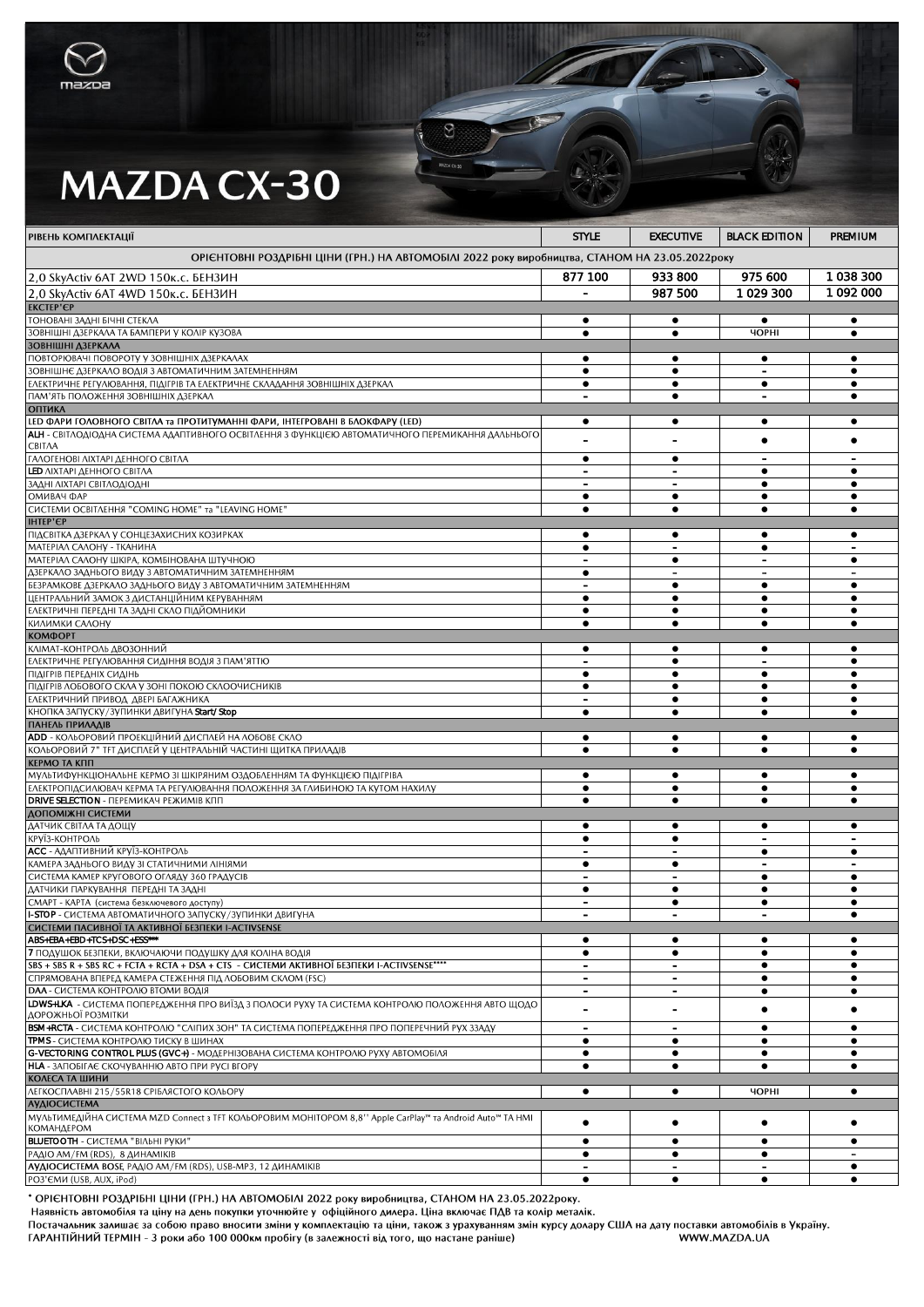

## **MAZDA CX-30**

| РІВЕНЬ КОМПЛЕКТАЦІЇ                                                                                                                 | <b>STYLE</b>                          | <b>EXECUTIVE</b>                      | <b>BLACK EDITION</b>                  | PREMIUM                     |
|-------------------------------------------------------------------------------------------------------------------------------------|---------------------------------------|---------------------------------------|---------------------------------------|-----------------------------|
| ОРІЄНТОВНІ РОЗДРІБНІ ЦІНИ (ГРН.) НА АВТОМОБІЛІ 2022 року виробництва, СТАНОМ НА 23.05.2022 року                                     |                                       |                                       |                                       |                             |
| 2,0 SkyActiv 6AT 2WD 150к.с. БЕНЗИН                                                                                                 | 877 100                               | 933 800                               | 975 600                               | 1038300                     |
| 2,0 SkyActiv 6AT 4WD 150k.c. БЕНЗИН                                                                                                 |                                       | 987 500                               | 1029300                               | 1 092 000                   |
| <b>EKCTEP'EP</b>                                                                                                                    |                                       |                                       |                                       |                             |
| ГОНОВАНІ ЗАДНІ БІЧНІ СТЕКЛА<br>ЗОВНІШНІ ДЗЕРКАЛА ТА БАМПЕРИ У КОЛІР КУЗОВА                                                          | ٠                                     | ٠                                     | ٠<br><b>YOPHI</b>                     | ٠                           |
| ЗОВНІШНІ ДЗЕРКАЛА                                                                                                                   | $\bullet$                             | $\bullet$                             |                                       | $\bullet$                   |
| ПОВТОРЮВАЧІ ПОВОРОТУ У ЗОВНІШНІХ ДЗЕРКАЛАХ                                                                                          | ٠                                     | ٠                                     | ٠                                     |                             |
| ЗОВНІШНЄ ДЗЕРКАЛО ВОДІЯ З АВТОМАТИЧНИМ ЗАТЕМНЕННЯМ                                                                                  | $\bullet$                             | $\bullet$                             | $\overline{\phantom{0}}$              | $\bullet$                   |
| ЕЛЕКТРИЧНЕ РЕГУЛЮВАННЯ, ПІДІГРІВ ТА ЕЛЕКТРИЧНЕ СКЛАДАННЯ ЗОВНІШНІХ ДЗЕРКАЛ<br>ПАМ'ЯТЬ ПОЛОЖЕННЯ ЗОВНІШНІХ ДЗЕРКАЛ                   | $\overline{\phantom{a}}$              | ٠<br>$\bullet$                        | ٠<br>$\overline{a}$                   | $\bullet$                   |
| <b>ОПТИКА</b>                                                                                                                       |                                       |                                       |                                       |                             |
| LED ФАРИ ГОЛОВНОГО СВІТЛА та ПРОТИТУМАННІ ФАРИ, ІНТЕГРОВАНІ В БЛОКФАРУ (LED)                                                        | $\bullet$                             | ٠                                     | $\bullet$                             | $\bullet$                   |
| АLH - СВІТЛОДІОДНА СИСТЕМА АДАПТИВНОГО ОСВІТЛЕННЯ З ФУНКЦІЄЮ АВТОМАТИЧНОГО ПЕРЕМИКАННЯ ДАЛЬНЬОГО                                    |                                       |                                       | $\bullet$                             | $\bullet$                   |
| CBITAA<br>ΓΑΛΟΓΕΗΟΒΙ ΛΙΧΤΑΡΙ ΔΕΗΗΟΓΟ CΒΙΤΛΑ                                                                                         | $\bullet$                             | $\bullet$                             |                                       |                             |
| <b>LED ΛΙΧΤΑΡΙ ΔΕΗΗΟΓΟ CBITΛΑ</b>                                                                                                   | $\overline{a}$                        | ÷.                                    | $\bullet$                             | $\bullet$                   |
| ЗАДНІ ЛІХТАРІ СВІТЛОДІОДНІ                                                                                                          |                                       |                                       | ٠                                     | $\bullet$                   |
| ОМИВАЧ ФАР<br>CUCTEMU OCBITAEHHA "COMING HOME" TA "LEAVING HOME"                                                                    |                                       | ٠                                     | ٠                                     |                             |
| <b>IHTEP'EP</b>                                                                                                                     | $\bullet$                             | $\bullet$                             | $\bullet$                             | $\bullet$                   |
| ПІДСВІТКА ДЗЕРКАЛ У СОНЦЕЗАХИСНИХ КОЗИРКАХ                                                                                          | ٠                                     | ٠                                     | ٠                                     |                             |
| МАТЕРІАЛ САЛОНУ - ТКАНИНА                                                                                                           | $\bullet$                             | $\overline{\phantom{a}}$              | $\bullet$                             | $\overline{\phantom{0}}$    |
| МАТЕРІАЛ САЛОНУ ШКІРА, КОМБІНОВАНА ШТУЧНОЮ                                                                                          | $\overline{a}$                        | $\bullet$                             |                                       | $\bullet$                   |
| ДЗЕРКАЛО ЗАДНЬОГО ВИДУ З АВТОМАТИЧНИМ ЗАТЕМНЕННЯМ<br>БЕЗРАМКОВЕ ДЗЕРКАЛО ЗАДНЬОГО ВИДУ З АВТОМАТИЧНИМ ЗАТЕМНЕННЯМ                   | $\bullet$<br>$\overline{\phantom{0}}$ | $\overline{\phantom{a}}$<br>$\bullet$ | $\bullet$                             | $\overline{a}$<br>$\bullet$ |
| ЦЕНТРАЛЬНИЙ ЗАМОК З ДИСТАНЦІЙНИМ КЕРУВАННЯМ                                                                                         | $\bullet$                             | ٠                                     | ٠                                     | $\bullet$                   |
| ЕЛЕКТРИЧНІ ПЕРЕДНІ ТА ЗАДНІ СКЛО ПІДЙОМНИКИ                                                                                         | $\bullet$                             | $\bullet$                             | $\bullet$                             | $\bullet$                   |
| КИЛИМКИ САЛОНУ<br><b>КОМФОРТ</b>                                                                                                    | ٠                                     | ٠                                     | $\bullet$                             | $\bullet$                   |
| КЛІМАТ-КОНТРОЛЬ ДВОЗОННИЙ                                                                                                           | ٠                                     | ٠                                     | ٠                                     |                             |
| ЕЛЕКТРИЧНЕ РЕГУЛЮВАННЯ СИДІННЯ ВОДІЯ З ПАМ'ЯТТЮ                                                                                     | $\blacksquare$                        | $\bullet$                             | $\blacksquare$                        | $\bullet$                   |
| ПІДІГРІВ ПЕРЕДНІХ СИДІНЬ                                                                                                            | ٠                                     | ٠                                     | ٠                                     |                             |
| ПІДІГРІВ ЛОБОВОГО СКЛА У ЗОНІ ПОКОЮ СКЛООЧИСНИКІВ<br>ЕЛЕКТРИЧНИЙ ПРИВОД ДВЕРІ БАГАЖНИКА                                             | $\bullet$<br>$\overline{\phantom{a}}$ | $\bullet$                             | ٠<br>$\bullet$                        | $\bullet$<br>$\bullet$      |
| КНОПКА ЗАПУСКУ/ЗУПИНКИ ДВИГУНА Start/Stop                                                                                           | $\bullet$                             | $\bullet$<br>$\bullet$                | $\bullet$                             | $\bullet$                   |
| ПАНЕЛЬ ПРИЛАДІВ                                                                                                                     |                                       |                                       |                                       |                             |
| <b>ADD</b> - КОЛЬОРОВИЙ ПРОЕКЦІЙНИЙ ДИСПЛЕЙ НА ЛОБОВЕ СКЛО                                                                          | ٠                                     | ٠                                     | ٠                                     |                             |
| КОЛЬОРОВИЙ 7" ТЕТ ДИСПЛЕЙ У ЦЕНТРАЛЬНІЙ ЧАСТИНІ ЩИТКА ПРИЛАДІВ<br>КЕРМО ТА КПП                                                      | $\bullet$                             | $\bullet$                             | $\bullet$                             | $\bullet$                   |
| МУЛЬТИФУНКЦІОНАЛЬНЕ КЕРМО ЗІ ШКІРЯНИМ ОЗДОБЛЕННЯМ ТА ФУНКЦІЄЮ ПІДІГРІВА                                                             | $\bullet$                             | $\bullet$                             | $\bullet$                             | $\bullet$                   |
| ЕЛЕКТРОПІДСИЛЮВАЧ КЕРМА ТА РЕГУЛЮВАННЯ ПОЛОЖЕННЯ ЗА ГЛИБИНОЮ ТА КУТОМ НАХИЛУ                                                        | $\bullet$                             | $\bullet$                             | $\bullet$                             | $\bullet$                   |
| <b>DRIVE SELECTION - ΠΕΡΕΜИΚΑΥ ΡΕЖИМІВ КПП</b>                                                                                      | $\bullet$                             | $\bullet$                             | $\bullet$                             | $\bullet$                   |
| ДОПОМІЖНІ СИСТЕМИ<br>ДАТЧИК СВІТЛА ТА ДОЩУ                                                                                          |                                       | ٠                                     | ٠                                     |                             |
| КРУЇЗ-КОНТРОЛЬ                                                                                                                      | $\bullet$                             | $\bullet$                             | $\overline{\phantom{a}}$              | $\overline{a}$              |
| <b>АСС</b> - АДАПТИВНИЙ КРУЇЗ-КОНТРОЛЬ                                                                                              |                                       |                                       | ٠                                     |                             |
| КАМЕРА ЗАДНЬОГО ВИДУ ЗІ СТАТИЧНИМИ ЛІНІЯМИ                                                                                          | $\bullet$                             | $\bullet$                             | $\overline{\phantom{0}}$              | $\overline{a}$              |
| СИСТЕМА КАМЕР КРУГОВОГО ОГЛЯДУ 360 ГРАДУСІВ<br>ДАТЧИКИ ПАРКУВАННЯ ПЕРЕДНІ ТА ЗАДНІ                                                  | $\bullet$                             | $\bullet$                             | $\bullet$<br>$\bullet$                | $\bullet$<br>$\bullet$      |
| СМАРТ - КАРТА (система безключевого доступу)                                                                                        | $\blacksquare$                        | $\bullet$                             | $\bullet$                             |                             |
| <b>I-STOP</b> - СИСТЕМА АВТОМАТИЧНОГО ЗАПУСКУ/ЗУПИНКИ ДВИГУНА                                                                       |                                       |                                       |                                       |                             |
| СИСТЕМИ ПАСИВНОЇ ТА АКТИВНОЇ БЕЗПЕКИ I-ACTIVSENSE<br>ABS+EBA+EBD+TCS+DSC+ESS***                                                     |                                       |                                       |                                       |                             |
| 7 ПОДУШОК БЕЗПЕКИ, ВКЛЮЧАЮЧИ ПОДУШКУ ДЛЯ КОЛІНА ВОДІЯ                                                                               | $\bullet$<br>$\bullet$                | ٠<br>٠                                | ٠                                     | ٠<br>٠                      |
| SBS + SBS R + SBS RC + FCTA + RCTA + DSA + CTS - CИCTEMИ АКТИВНОЇ БЕЗПЕКИ I-ACTIVSENSE****                                          | $\overline{\phantom{a}}$              |                                       | ٠                                     | ٠                           |
| СПРЯМОВАНА ВПЕРЕД КАМЕРА СТЕЖЕННЯ ПІД ЛОБОВИМ СКЛОМ (FSC)                                                                           | $\sim$                                | $\overline{\phantom{a}}$              | $\bullet$                             | $\bullet$                   |
| <b>DAA - СИСТЕМА КОНТРОЛЮ ВТОМИ ВОДІЯ</b>                                                                                           | $\blacksquare$                        | $\blacksquare$                        | ٠                                     |                             |
| <b>LDWS+LKA</b> - СИСТЕМА ПОПЕРЕДЖЕННЯ ПРО ВИЇЗД З ПОЛОСИ РУХУ ТА СИСТЕМА КОНТРОЛЮ ПОЛОЖЕННЯ АВТО ЩОДО<br>ДОРОЖНЬОЇ РОЗМІТКИ        | $\blacksquare$                        | $\overline{\phantom{0}}$              | ٠                                     |                             |
| <b>BSM+RCTA</b> - СИСТЕМА КОНТРОЛЮ "СЛІПИХ ЗОН" ТА СИСТЕМА ПОПЕРЕДЖЕННЯ ПРО ПОПЕРЕЧНИЙ РУХ ЗЗАДУ                                    | $\blacksquare$                        | $\blacksquare$                        | $\bullet$                             |                             |
| <b>TPMS</b> - СИСТЕМА КОНТРОЛЮ ТИСКУ В ШИНАХ                                                                                        | $\bullet$                             | $\bullet$                             | $\bullet$                             | $\bullet$                   |
| G-VECTORING CONTROL PLUS (GVC+) - MOAEPHI3OBAHA CUCTEMA KOHTPOAIO PYXY ABTOMOBIAR<br>НІА - ЗАПОБІГАЄ СКОЧУВАННЮ АВТО ПРИ РУСІ ВГОРУ | $\bullet$<br>$\bullet$                | $\bullet$<br>$\bullet$                | $\bullet$<br>$\bullet$                | $\bullet$<br>$\bullet$      |
| КОЛЕСА ТА ШИНИ                                                                                                                      |                                       |                                       |                                       |                             |
| ЛЕГКОСПЛАВНІ 215/55R18 СРІБЛЯСТОГО КОЛЬОРУ                                                                                          | $\bullet$                             | ٠                                     | <b>YOPHI</b>                          | ٠                           |
| <b>АУДІОСИСТЕМА</b>                                                                                                                 |                                       |                                       |                                       |                             |
| МУЛЬТИМЕДІЙНА СИСТЕМА MZD Connect з ТҒТ КОЛЬОРОВИМ МОНІТОРОМ 8,8'' Apple CarPlay™ та Android Auto™ ТА HMI<br>КОМАНДЕРОМ             | ٠                                     | ٠                                     | ٠                                     | ٠                           |
| <b>BLUETOOTH</b> - СИСТЕМА "ВІЛЬНІ РУКИ"                                                                                            | $\bullet$                             | $\bullet$                             | $\bullet$                             | $\bullet$                   |
| РАДІО АМ/FM (RDS), 8 ДИНАМІКІВ                                                                                                      | ٠                                     | ٠                                     | ٠                                     |                             |
| АУДІОСИСТЕМА BOSE, PAДІО AM/FM (RDS), USB-MP3, 12 ДИНАМІКІВ<br>PO3'EMM (USB, AUX, iPod)                                             | $\overline{\phantom{a}}$<br>$\bullet$ | $\overline{\phantom{a}}$<br>$\bullet$ | $\overline{\phantom{a}}$<br>$\bullet$ | $\bullet$<br>$\bullet$      |
|                                                                                                                                     |                                       |                                       |                                       |                             |

 $\overline{C}$ 

 $\overline{8}$ 

• ОРІЄНТОВНІ РОЗДРІБНІ ЦІНИ (ГРН.) НА АВТОМОБІЛІ 2022 року виробництва, СТАНОМ НА 23.05.2022року.

Наявність автомобіля та ціну на день покупки уточнюйте у офіційного дилера. Ціна включає ПДВ та колір металік.

сманного части с для поставки и для поставки в совможного для не наших поставки с для поставки для поставки автомобілів в Україну.<br>Постачальник залишає за собою право вносити зміни у комплектацію та ціни, також з урахуван